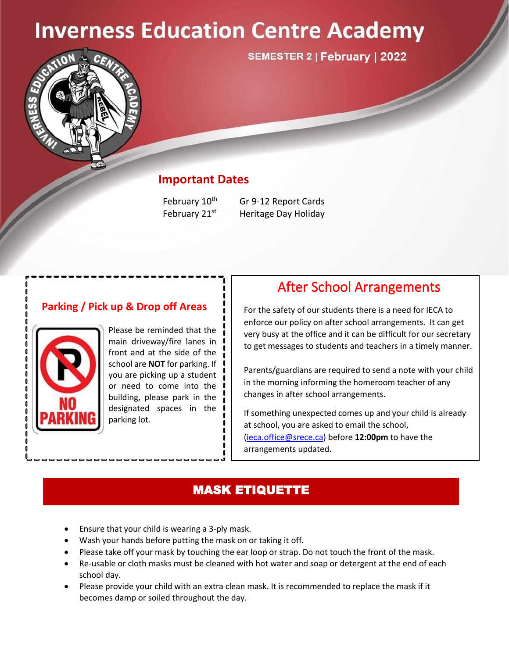# **Inverness Education Centre Academy**



**SEMESTER 2 | February | 2022** 

#### **Important Dates**

February 10<sup>th</sup> Gr 9-12 Report Cards February 21<sup>st</sup> Heritage Day Holiday

#### **Parking / Pick up & Drop off Areas**



Λ

Please be reminded that the main driveway/fire lanes in front and at the side of the school are **NOT** for parking. If you are picking up a student or need to come into the building, please park in the designated spaces in the parking lot.

### After School Arrangements

For the safety of our students there is a need for IECA to enforce our policy on after school arrangements. It can get very busy at the office and it can be difficult for our secretary to get messages to students and teachers in a timely manner.

Parents/guardians are required to send a note with your child in the morning informing the homeroom teacher of any changes in after school arrangements.

If something unexpected comes up and your child is already at school, you are asked to email the school, [\(ieca.office@srece.ca\)](mailto:ieca.office@srece.ca) before **12:00pm** to have the arrangements updated.

#### MASK ETIQUETTE

- Ensure that your child is wearing a 3-ply mask.
- Wash your hands before putting the mask on or taking it off.
- Please take off your mask by touching the ear loop or strap. Do not touch the front of the mask.
- Re-usable or cloth masks must be cleaned with hot water and soap or detergent at the end of each school day.
- Please provide your child with an extra clean mask. It is recommended to replace the mask if it becomes damp or soiled throughout the day.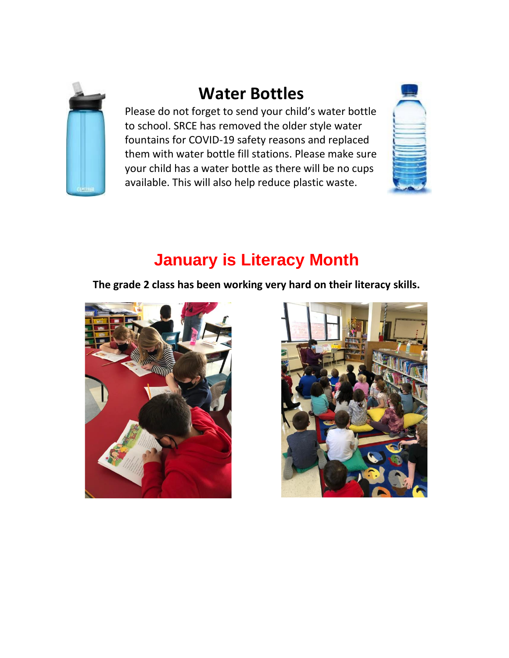

# **Water Bottles**

Please do not forget to send your child's water bottle to school. SRCE has removed the older style water fountains for COVID-19 safety reasons and replaced them with water bottle fill stations. Please make sure your child has a water bottle as there will be no cups available. This will also help reduce plastic waste.



### **January is Literacy Month**

**The grade 2 class has been working very hard on their literacy skills.**



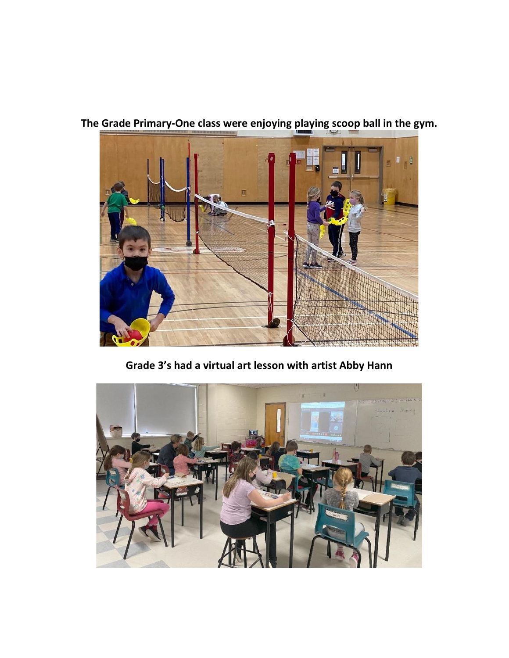

**The Grade Primary-One class were enjoying playing scoop ball in the gym.**

**Grade 3's had a virtual art lesson with artist Abby Hann**

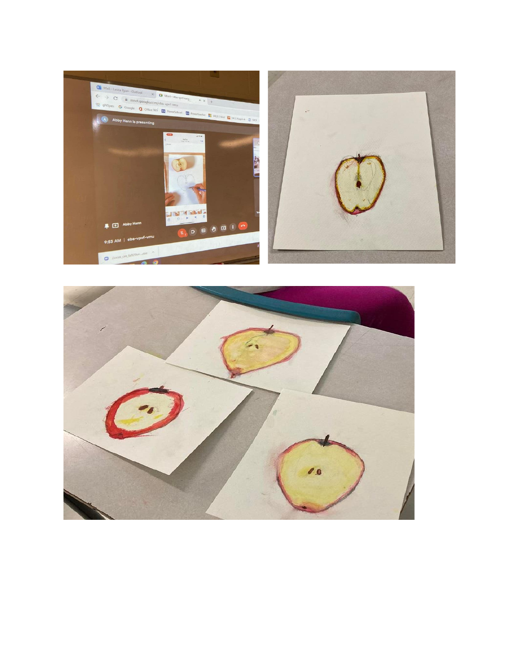

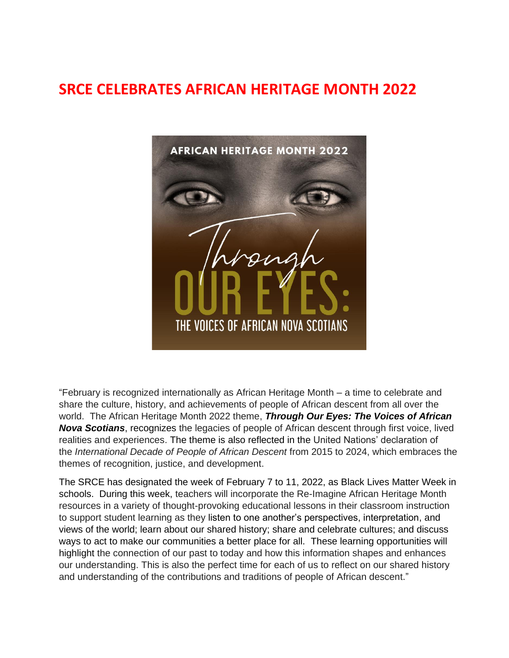### **SRCE CELEBRATES AFRICAN HERITAGE MONTH 2022**



"February is recognized internationally as African Heritage Month – a time to celebrate and share the culture, history, and achievements of people of African descent from all over the world. The African Heritage Month 2022 theme, *Through Our Eyes: The Voices of African Nova Scotians*, recognizes the legacies of people of African descent through first voice, lived realities and experiences. The theme is also reflected in the United Nations' declaration of the *International Decade of People of African Descent* from 2015 to 2024, which embraces the themes of recognition, justice, and development.

The SRCE has designated the week of February 7 to 11, 2022, as Black Lives Matter Week in schools. During this week, teachers will incorporate the Re-Imagine African Heritage Month resources in a variety of thought-provoking educational lessons in their classroom instruction to support student learning as they listen to one another's perspectives, interpretation, and views of the world; learn about our shared history; share and celebrate cultures; and discuss ways to act to make our communities a better place for all. These learning opportunities will highlight the connection of our past to today and how this information shapes and enhances our understanding. This is also the perfect time for each of us to reflect on our shared history and understanding of the contributions and traditions of people of African descent."